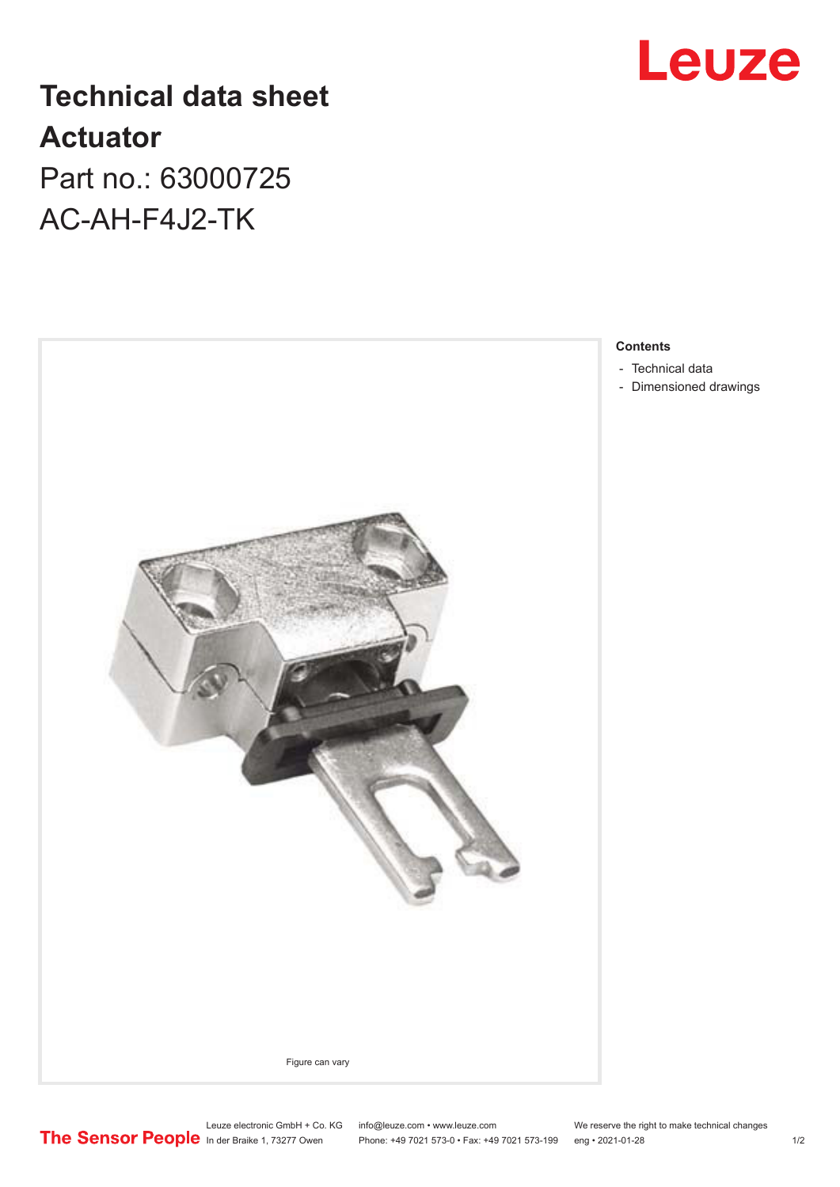

# **Technical data sheet Actuator** Part no.: 63000725 AC-AH-F4J2-TK



### **Contents**

- [Technical data](#page-1-0)
- [Dimensioned drawings](#page-1-0)

Leuze electronic GmbH + Co. KG info@leuze.com • www.leuze.com We reserve the right to make technical changes

In der Braike 1, 73277 Owen Phone: +49 7021 573-0 • Fax: +49 7021 573-199 eng • 2021-01-28 1/2